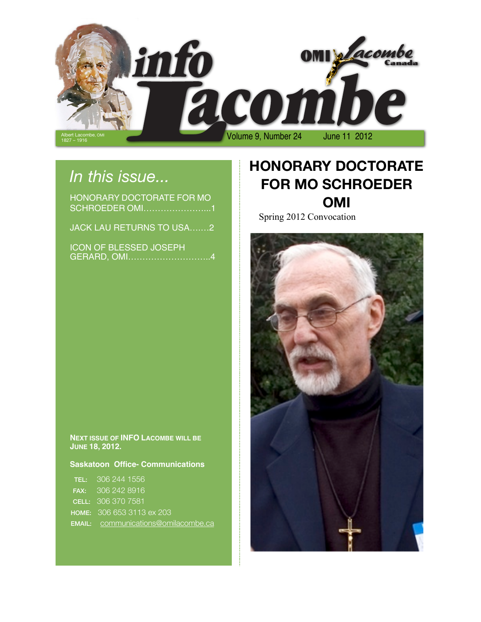

# *In this issue...*

| HONORARY DOCTORATE FOR MO |  |
|---------------------------|--|
| SCHROEDER OMI1            |  |
|                           |  |
| JACK LAU RETURNS TO USA2  |  |

| <b>ICON OF BLESSED JOSEPH</b> |
|-------------------------------|
|                               |

## **HONORARY DOCTORATE FOR MO SCHROEDER OMI**

Spring 2012 Convocation



**NEXT ISSUE OF INFO LACOMBE WILL BE JUNE 18, 2012.**

### **Saskatoon Office- Communications**

| <b>TEL:</b> 306 244 1556                   |
|--------------------------------------------|
| <b>FAX: 306 242 8916</b>                   |
| <b>CELL:</b> 306 370 7581                  |
| <b>HOME: 306 653 3113 ex 203</b>           |
| <b>EMAIL:</b> communications@omilacombe.ca |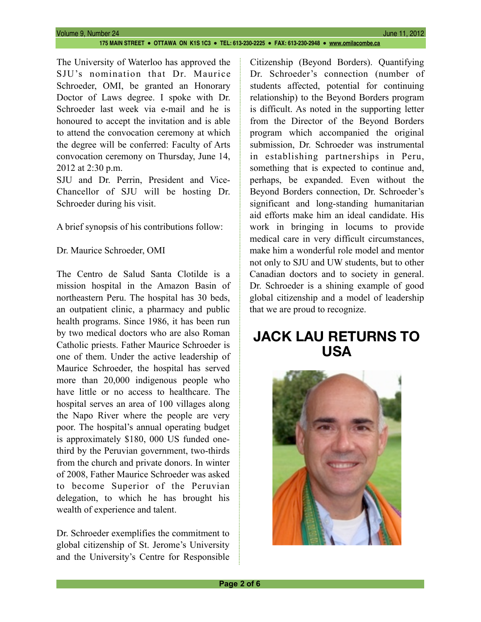The University of Waterloo has approved the SJU's nomination that Dr. Maurice Schroeder, OMI, be granted an Honorary Doctor of Laws degree. I spoke with Dr. Schroeder last week via e-mail and he is honoured to accept the invitation and is able to attend the convocation ceremony at which the degree will be conferred: Faculty of Arts convocation ceremony on Thursday, June 14, 2012 at 2:30 p.m.

SJU and Dr. Perrin, President and Vice-Chancellor of SJU will be hosting Dr. Schroeder during his visit.

A brief synopsis of his contributions follow:

Dr. Maurice Schroeder, OMI

The Centro de Salud Santa Clotilde is a mission hospital in the Amazon Basin of northeastern Peru. The hospital has 30 beds, an outpatient clinic, a pharmacy and public health programs. Since 1986, it has been run by two medical doctors who are also Roman Catholic priests. Father Maurice Schroeder is one of them. Under the active leadership of Maurice Schroeder, the hospital has served more than 20,000 indigenous people who have little or no access to healthcare. The hospital serves an area of 100 villages along the Napo River where the people are very poor. The hospital's annual operating budget is approximately \$180, 000 US funded onethird by the Peruvian government, two-thirds from the church and private donors. In winter of 2008, Father Maurice Schroeder was asked to become Superior of the Peruvian delegation, to which he has brought his wealth of experience and talent.

Dr. Schroeder exemplifies the commitment to global citizenship of St. Jerome's University and the University's Centre for Responsible

Citizenship (Beyond Borders). Quantifying Dr. Schroeder's connection (number of students affected, potential for continuing relationship) to the Beyond Borders program is difficult. As noted in the supporting letter from the Director of the Beyond Borders program which accompanied the original submission, Dr. Schroeder was instrumental in establishing partnerships in Peru, something that is expected to continue and, perhaps, be expanded. Even without the Beyond Borders connection, Dr. Schroeder's significant and long-standing humanitarian aid efforts make him an ideal candidate. His work in bringing in locums to provide medical care in very difficult circumstances, make him a wonderful role model and mentor not only to SJU and UW students, but to other Canadian doctors and to society in general. Dr. Schroeder is a shining example of good global citizenship and a model of leadership that we are proud to recognize.

### **JACK LAU RETURNS TO USA**

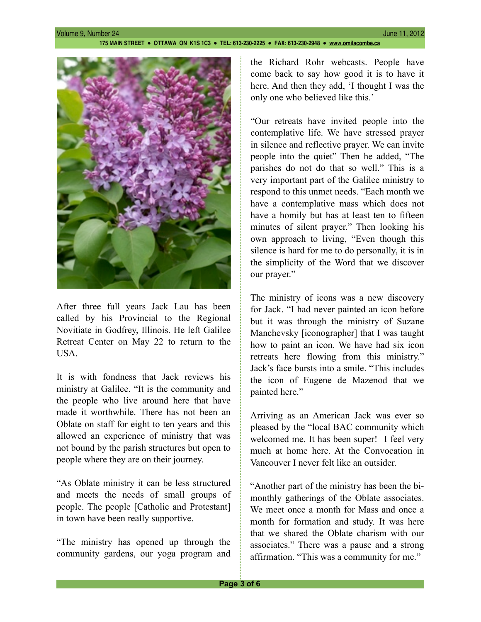

After three full years Jack Lau has been called by his Provincial to the Regional Novitiate in Godfrey, Illinois. He left Galilee Retreat Center on May 22 to return to the **USA** 

It is with fondness that Jack reviews his ministry at Galilee. "It is the community and the people who live around here that have made it worthwhile. There has not been an Oblate on staff for eight to ten years and this allowed an experience of ministry that was not bound by the parish structures but open to people where they are on their journey.

"As Oblate ministry it can be less structured and meets the needs of small groups of people. The people [Catholic and Protestant] in town have been really supportive.

"The ministry has opened up through the community gardens, our yoga program and the Richard Rohr webcasts. People have come back to say how good it is to have it here. And then they add, 'I thought I was the only one who believed like this.'

"Our retreats have invited people into the contemplative life. We have stressed prayer in silence and reflective prayer. We can invite people into the quiet" Then he added, "The parishes do not do that so well." This is a very important part of the Galilee ministry to respond to this unmet needs. "Each month we have a contemplative mass which does not have a homily but has at least ten to fifteen minutes of silent prayer." Then looking his own approach to living, "Even though this silence is hard for me to do personally, it is in the simplicity of the Word that we discover our prayer."

The ministry of icons was a new discovery for Jack. "I had never painted an icon before but it was through the ministry of Suzane Manchevsky [iconographer] that I was taught how to paint an icon. We have had six icon retreats here flowing from this ministry." Jack's face bursts into a smile. "This includes the icon of Eugene de Mazenod that we painted here."

Arriving as an American Jack was ever so pleased by the "local BAC community which welcomed me. It has been super! I feel very much at home here. At the Convocation in Vancouver I never felt like an outsider.

"Another part of the ministry has been the bimonthly gatherings of the Oblate associates. We meet once a month for Mass and once a month for formation and study. It was here that we shared the Oblate charism with our associates." There was a pause and a strong affirmation. "This was a community for me."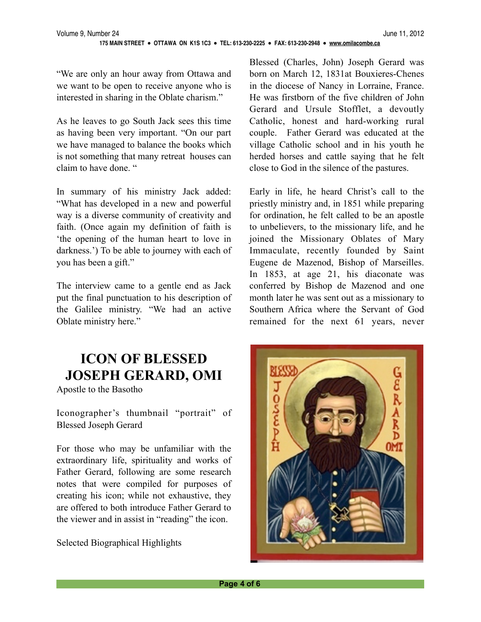"We are only an hour away from Ottawa and we want to be open to receive anyone who is interested in sharing in the Oblate charism."

As he leaves to go South Jack sees this time as having been very important. "On our part we have managed to balance the books which is not something that many retreat houses can claim to have done. "

In summary of his ministry Jack added: "What has developed in a new and powerful way is a diverse community of creativity and faith. (Once again my definition of faith is 'the opening of the human heart to love in darkness.') To be able to journey with each of you has been a gift."

The interview came to a gentle end as Jack put the final punctuation to his description of the Galilee ministry. "We had an active Oblate ministry here."

## **ICON OF BLESSED JOSEPH GERARD, OMI**

Apostle to the Basotho

Iconographer's thumbnail "portrait" of Blessed Joseph Gerard

For those who may be unfamiliar with the extraordinary life, spirituality and works of Father Gerard, following are some research notes that were compiled for purposes of creating his icon; while not exhaustive, they are offered to both introduce Father Gerard to the viewer and in assist in "reading" the icon.

Selected Biographical Highlights

Blessed (Charles, John) Joseph Gerard was born on March 12, 1831at Bouxieres-Chenes in the diocese of Nancy in Lorraine, France. He was firstborn of the five children of John Gerard and Ursule Stofflet, a devoutly Catholic, honest and hard-working rural couple. Father Gerard was educated at the village Catholic school and in his youth he herded horses and cattle saying that he felt close to God in the silence of the pastures.

Early in life, he heard Christ's call to the priestly ministry and, in 1851 while preparing for ordination, he felt called to be an apostle to unbelievers, to the missionary life, and he joined the Missionary Oblates of Mary Immaculate, recently founded by Saint Eugene de Mazenod, Bishop of Marseilles. In 1853, at age 21, his diaconate was conferred by Bishop de Mazenod and one month later he was sent out as a missionary to Southern Africa where the Servant of God remained for the next 61 years, never

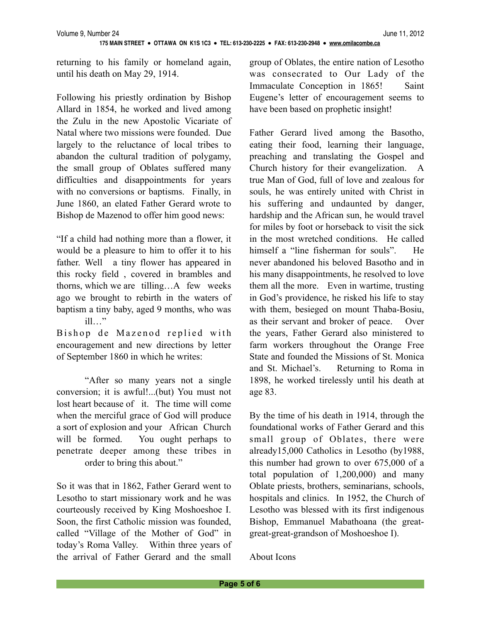returning to his family or homeland again, until his death on May 29, 1914.

Following his priestly ordination by Bishop Allard in 1854, he worked and lived among the Zulu in the new Apostolic Vicariate of Natal where two missions were founded. Due largely to the reluctance of local tribes to abandon the cultural tradition of polygamy, the small group of Oblates suffered many difficulties and disappointments for years with no conversions or baptisms. Finally, in June 1860, an elated Father Gerard wrote to Bishop de Mazenod to offer him good news:

"If a child had nothing more than a flower, it would be a pleasure to him to offer it to his father. Well a tiny flower has appeared in this rocky field , covered in brambles and thorns, which we are tilling…A few weeks ago we brought to rebirth in the waters of baptism a tiny baby, aged 9 months, who was ill…"

Bishop de Mazenod replied with encouragement and new directions by letter of September 1860 in which he writes:

 "After so many years not a single conversion; it is awful!...(but) You must not lost heart because of it. The time will come when the merciful grace of God will produce a sort of explosion and your African Church will be formed. You ought perhaps to penetrate deeper among these tribes in order to bring this about."

So it was that in 1862, Father Gerard went to Lesotho to start missionary work and he was courteously received by King Moshoeshoe I. Soon, the first Catholic mission was founded, called "Village of the Mother of God" in today's Roma Valley. Within three years of the arrival of Father Gerard and the small

group of Oblates, the entire nation of Lesotho was consecrated to Our Lady of the Immaculate Conception in 1865! Saint Eugene's letter of encouragement seems to have been based on prophetic insight!

Father Gerard lived among the Basotho, eating their food, learning their language, preaching and translating the Gospel and Church history for their evangelization. A true Man of God, full of love and zealous for souls, he was entirely united with Christ in his suffering and undaunted by danger, hardship and the African sun, he would travel for miles by foot or horseback to visit the sick in the most wretched conditions. He called himself a "line fisherman for souls". He never abandoned his beloved Basotho and in his many disappointments, he resolved to love them all the more. Even in wartime, trusting in God's providence, he risked his life to stay with them, besieged on mount Thaba-Bosiu, as their servant and broker of peace. Over the years, Father Gerard also ministered to farm workers throughout the Orange Free State and founded the Missions of St. Monica and St. Michael's. Returning to Roma in 1898, he worked tirelessly until his death at age 83.

By the time of his death in 1914, through the foundational works of Father Gerard and this small group of Oblates, there were already15,000 Catholics in Lesotho (by1988, this number had grown to over 675,000 of a total population of 1,200,000) and many Oblate priests, brothers, seminarians, schools, hospitals and clinics. In 1952, the Church of Lesotho was blessed with its first indigenous Bishop, Emmanuel Mabathoana (the greatgreat-great-grandson of Moshoeshoe I).

About Icons